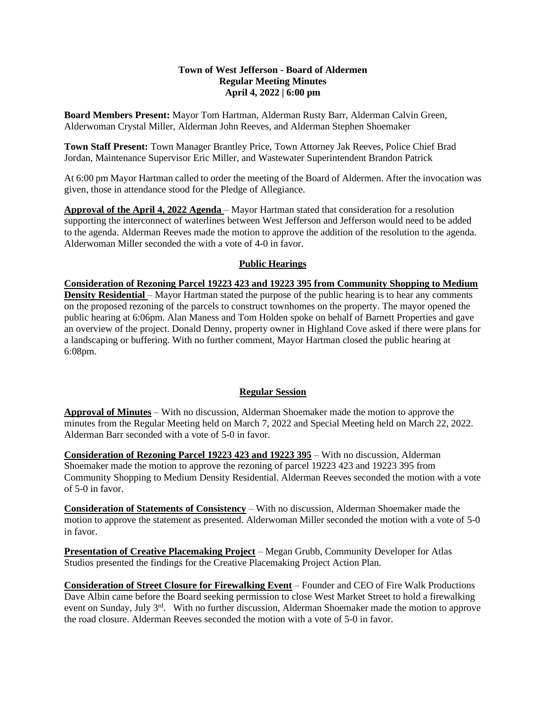## **Town of West Jefferson - Board of Aldermen Regular Meeting Minutes April 4, 2022 | 6:00 pm**

**Board Members Present:** Mayor Tom Hartman, Alderman Rusty Barr, Alderman Calvin Green, Alderwoman Crystal Miller, Alderman John Reeves, and Alderman Stephen Shoemaker

**Town Staff Present:** Town Manager Brantley Price, Town Attorney Jak Reeves, Police Chief Brad Jordan, Maintenance Supervisor Eric Miller, and Wastewater Superintendent Brandon Patrick

At 6:00 pm Mayor Hartman called to order the meeting of the Board of Aldermen. After the invocation was given, those in attendance stood for the Pledge of Allegiance.

**Approval of the April 4, 2022 Agenda** – Mayor Hartman stated that consideration for a resolution supporting the interconnect of waterlines between West Jefferson and Jefferson would need to be added to the agenda. Alderman Reeves made the motion to approve the addition of the resolution to the agenda. Alderwoman Miller seconded the with a vote of 4-0 in favor.

## **Public Hearings**

**Consideration of Rezoning Parcel 19223 423 and 19223 395 from Community Shopping to Medium Density Residential** – Mayor Hartman stated the purpose of the public hearing is to hear any comments on the proposed rezoning of the parcels to construct townhomes on the property. The mayor opened the public hearing at 6:06pm. Alan Maness and Tom Holden spoke on behalf of Barnett Properties and gave an overview of the project. Donald Denny, property owner in Highland Cove asked if there were plans for a landscaping or buffering. With no further comment, Mayor Hartman closed the public hearing at 6:08pm.

## **Regular Session**

**Approval of Minutes** – With no discussion, Alderman Shoemaker made the motion to approve the minutes from the Regular Meeting held on March 7, 2022 and Special Meeting held on March 22, 2022. Alderman Barr seconded with a vote of 5-0 in favor.

**Consideration of Rezoning Parcel 19223 423 and 19223 395** – With no discussion, Alderman Shoemaker made the motion to approve the rezoning of parcel 19223 423 and 19223 395 from Community Shopping to Medium Density Residential. Alderman Reeves seconded the motion with a vote of 5-0 in favor.

**Consideration of Statements of Consistency** – With no discussion, Alderman Shoemaker made the motion to approve the statement as presented. Alderwoman Miller seconded the motion with a vote of 5-0 in favor.

**Presentation of Creative Placemaking Project** – Megan Grubb, Community Developer for Atlas Studios presented the findings for the Creative Placemaking Project Action Plan.

**Consideration of Street Closure for Firewalking Event** – Founder and CEO of Fire Walk Productions Dave Albin came before the Board seeking permission to close West Market Street to hold a firewalking event on Sunday, July 3<sup>rd</sup>. With no further discussion, Alderman Shoemaker made the motion to approve the road closure. Alderman Reeves seconded the motion with a vote of 5-0 in favor.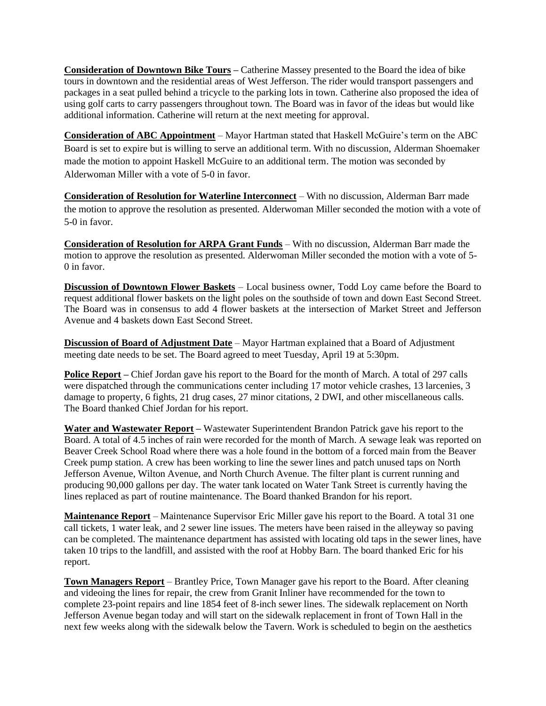**Consideration of Downtown Bike Tours –** Catherine Massey presented to the Board the idea of bike tours in downtown and the residential areas of West Jefferson. The rider would transport passengers and packages in a seat pulled behind a tricycle to the parking lots in town. Catherine also proposed the idea of using golf carts to carry passengers throughout town. The Board was in favor of the ideas but would like additional information. Catherine will return at the next meeting for approval.

**Consideration of ABC Appointment** – Mayor Hartman stated that Haskell McGuire's term on the ABC Board is set to expire but is willing to serve an additional term. With no discussion, Alderman Shoemaker made the motion to appoint Haskell McGuire to an additional term. The motion was seconded by Alderwoman Miller with a vote of 5-0 in favor.

**Consideration of Resolution for Waterline Interconnect** – With no discussion, Alderman Barr made the motion to approve the resolution as presented. Alderwoman Miller seconded the motion with a vote of 5-0 in favor.

**Consideration of Resolution for ARPA Grant Funds** – With no discussion, Alderman Barr made the motion to approve the resolution as presented. Alderwoman Miller seconded the motion with a vote of 5- 0 in favor.

**Discussion of Downtown Flower Baskets** – Local business owner, Todd Loy came before the Board to request additional flower baskets on the light poles on the southside of town and down East Second Street. The Board was in consensus to add 4 flower baskets at the intersection of Market Street and Jefferson Avenue and 4 baskets down East Second Street.

**Discussion of Board of Adjustment Date** – Mayor Hartman explained that a Board of Adjustment meeting date needs to be set. The Board agreed to meet Tuesday, April 19 at 5:30pm.

**Police Report –** Chief Jordan gave his report to the Board for the month of March. A total of 297 calls were dispatched through the communications center including 17 motor vehicle crashes, 13 larcenies, 3 damage to property, 6 fights, 21 drug cases, 27 minor citations, 2 DWI, and other miscellaneous calls. The Board thanked Chief Jordan for his report.

**Water and Wastewater Report –** Wastewater Superintendent Brandon Patrick gave his report to the Board. A total of 4.5 inches of rain were recorded for the month of March. A sewage leak was reported on Beaver Creek School Road where there was a hole found in the bottom of a forced main from the Beaver Creek pump station. A crew has been working to line the sewer lines and patch unused taps on North Jefferson Avenue, Wilton Avenue, and North Church Avenue. The filter plant is current running and producing 90,000 gallons per day. The water tank located on Water Tank Street is currently having the lines replaced as part of routine maintenance. The Board thanked Brandon for his report.

**Maintenance Report** – Maintenance Supervisor Eric Miller gave his report to the Board. A total 31 one call tickets, 1 water leak, and 2 sewer line issues. The meters have been raised in the alleyway so paving can be completed. The maintenance department has assisted with locating old taps in the sewer lines, have taken 10 trips to the landfill, and assisted with the roof at Hobby Barn. The board thanked Eric for his report.

**Town Managers Report** – Brantley Price, Town Manager gave his report to the Board. After cleaning and videoing the lines for repair, the crew from Granit Inliner have recommended for the town to complete 23-point repairs and line 1854 feet of 8-inch sewer lines. The sidewalk replacement on North Jefferson Avenue began today and will start on the sidewalk replacement in front of Town Hall in the next few weeks along with the sidewalk below the Tavern. Work is scheduled to begin on the aesthetics